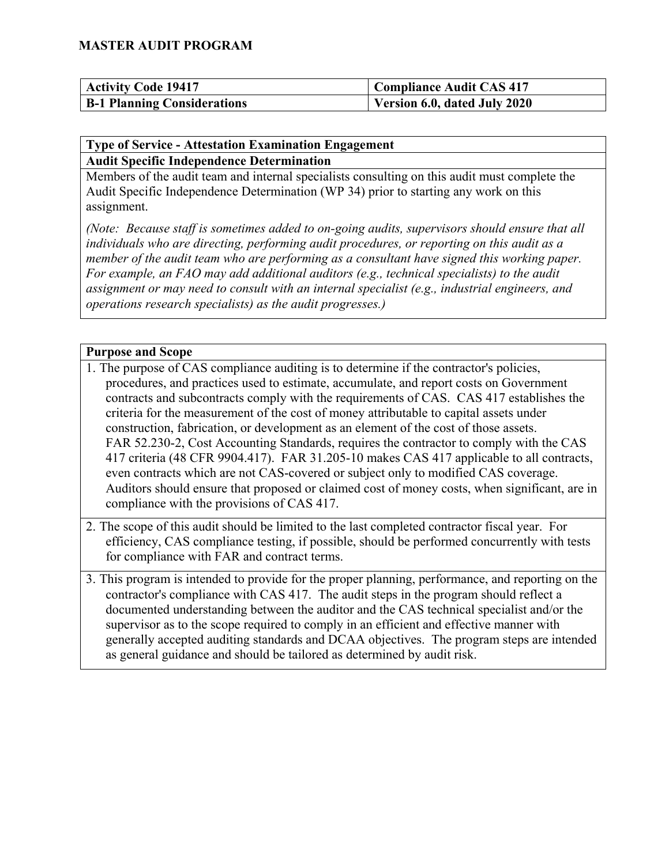| <b>Activity Code 19417</b>         | <b>Compliance Audit CAS 417</b> |
|------------------------------------|---------------------------------|
| <b>B-1 Planning Considerations</b> | Version 6.0, dated July 2020    |

#### **Type of Service - Attestation Examination Engagement Audit Specific Independence Determination**

Members of the audit team and internal specialists consulting on this audit must complete the Audit Specific Independence Determination (WP 34) prior to starting any work on this assignment.

*(Note: Because staff is sometimes added to on-going audits, supervisors should ensure that all individuals who are directing, performing audit procedures, or reporting on this audit as a member of the audit team who are performing as a consultant have signed this working paper. For example, an FAO may add additional auditors (e.g., technical specialists) to the audit assignment or may need to consult with an internal specialist (e.g., industrial engineers, and operations research specialists) as the audit progresses.)*

#### **Purpose and Scope**

- 1. The purpose of CAS compliance auditing is to determine if the contractor's policies, procedures, and practices used to estimate, accumulate, and report costs on Government contracts and subcontracts comply with the requirements of CAS. CAS 417 establishes the criteria for the measurement of the cost of money attributable to capital assets under construction, fabrication, or development as an element of the cost of those assets. FAR 52.230-2, Cost Accounting Standards, requires the contractor to comply with the CAS 417 criteria (48 CFR 9904.417). FAR 31.205-10 makes CAS 417 applicable to all contracts, even contracts which are not CAS-covered or subject only to modified CAS coverage. Auditors should ensure that proposed or claimed cost of money costs, when significant, are in compliance with the provisions of CAS 417.
- 2. The scope of this audit should be limited to the last completed contractor fiscal year. For efficiency, CAS compliance testing, if possible, should be performed concurrently with tests for compliance with FAR and contract terms.
- 3. This program is intended to provide for the proper planning, performance, and reporting on the contractor's compliance with CAS 417. The audit steps in the program should reflect a documented understanding between the auditor and the CAS technical specialist and/or the supervisor as to the scope required to comply in an efficient and effective manner with generally accepted auditing standards and DCAA objectives. The program steps are intended as general guidance and should be tailored as determined by audit risk.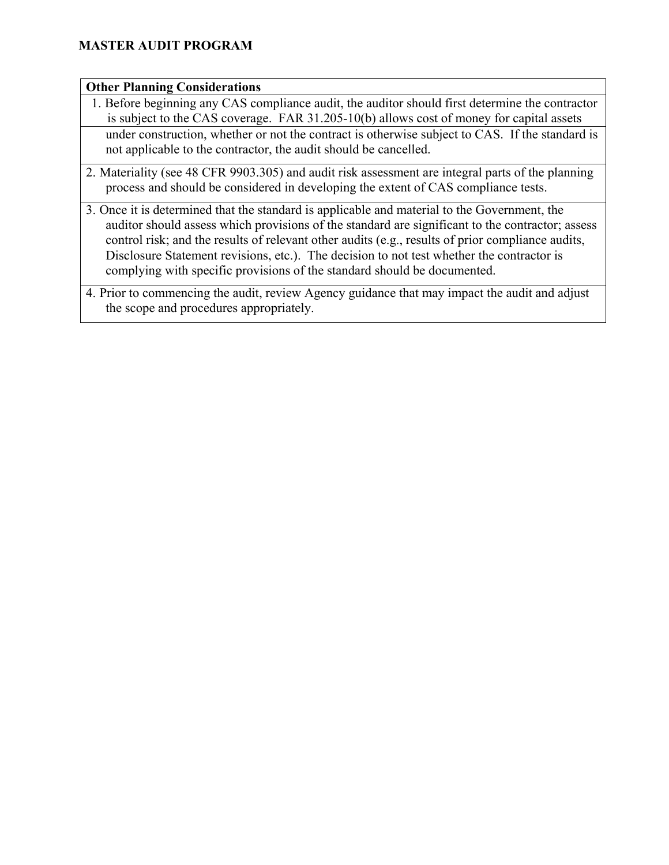#### **Other Planning Considerations**

- 1. Before beginning any CAS compliance audit, the auditor should first determine the contractor is subject to the CAS coverage. FAR 31.205-10(b) allows cost of money for capital assets under construction, whether or not the contract is otherwise subject to CAS. If the standard is not applicable to the contractor, the audit should be cancelled.
- 2. Materiality (see 48 CFR 9903.305) and audit risk assessment are integral parts of the planning process and should be considered in developing the extent of CAS compliance tests.
- 3. Once it is determined that the standard is applicable and material to the Government, the auditor should assess which provisions of the standard are significant to the contractor; assess control risk; and the results of relevant other audits (e.g., results of prior compliance audits, Disclosure Statement revisions, etc.). The decision to not test whether the contractor is complying with specific provisions of the standard should be documented.
- 4. Prior to commencing the audit, review Agency guidance that may impact the audit and adjust the scope and procedures appropriately.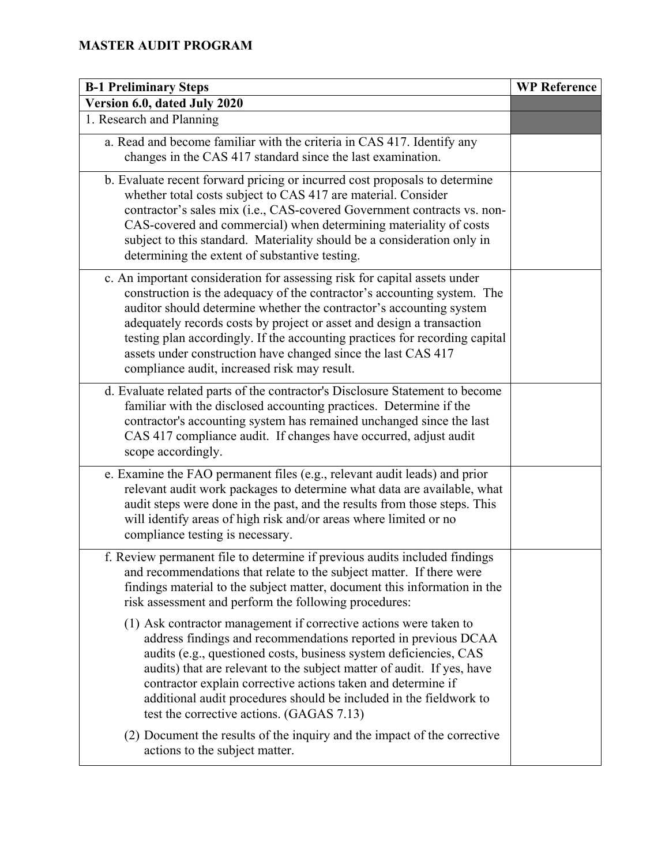| <b>B-1 Preliminary Steps</b>                                                                                                                                                                                                                                                                                                                                                                                                                                                                         | <b>WP Reference</b> |
|------------------------------------------------------------------------------------------------------------------------------------------------------------------------------------------------------------------------------------------------------------------------------------------------------------------------------------------------------------------------------------------------------------------------------------------------------------------------------------------------------|---------------------|
| Version 6.0, dated July 2020                                                                                                                                                                                                                                                                                                                                                                                                                                                                         |                     |
| 1. Research and Planning                                                                                                                                                                                                                                                                                                                                                                                                                                                                             |                     |
| a. Read and become familiar with the criteria in CAS 417. Identify any<br>changes in the CAS 417 standard since the last examination.                                                                                                                                                                                                                                                                                                                                                                |                     |
| b. Evaluate recent forward pricing or incurred cost proposals to determine<br>whether total costs subject to CAS 417 are material. Consider<br>contractor's sales mix (i.e., CAS-covered Government contracts vs. non-<br>CAS-covered and commercial) when determining materiality of costs<br>subject to this standard. Materiality should be a consideration only in<br>determining the extent of substantive testing.                                                                             |                     |
| c. An important consideration for assessing risk for capital assets under<br>construction is the adequacy of the contractor's accounting system. The<br>auditor should determine whether the contractor's accounting system<br>adequately records costs by project or asset and design a transaction<br>testing plan accordingly. If the accounting practices for recording capital<br>assets under construction have changed since the last CAS 417<br>compliance audit, increased risk may result. |                     |
| d. Evaluate related parts of the contractor's Disclosure Statement to become<br>familiar with the disclosed accounting practices. Determine if the<br>contractor's accounting system has remained unchanged since the last<br>CAS 417 compliance audit. If changes have occurred, adjust audit<br>scope accordingly.                                                                                                                                                                                 |                     |
| e. Examine the FAO permanent files (e.g., relevant audit leads) and prior<br>relevant audit work packages to determine what data are available, what<br>audit steps were done in the past, and the results from those steps. This<br>will identify areas of high risk and/or areas where limited or no<br>compliance testing is necessary.                                                                                                                                                           |                     |
| f. Review permanent file to determine if previous audits included findings<br>and recommendations that relate to the subject matter. If there were<br>findings material to the subject matter, document this information in the<br>risk assessment and perform the following procedures:                                                                                                                                                                                                             |                     |
| (1) Ask contractor management if corrective actions were taken to<br>address findings and recommendations reported in previous DCAA<br>audits (e.g., questioned costs, business system deficiencies, CAS<br>audits) that are relevant to the subject matter of audit. If yes, have<br>contractor explain corrective actions taken and determine if<br>additional audit procedures should be included in the fieldwork to<br>test the corrective actions. (GAGAS 7.13)                                |                     |
| (2) Document the results of the inquiry and the impact of the corrective<br>actions to the subject matter.                                                                                                                                                                                                                                                                                                                                                                                           |                     |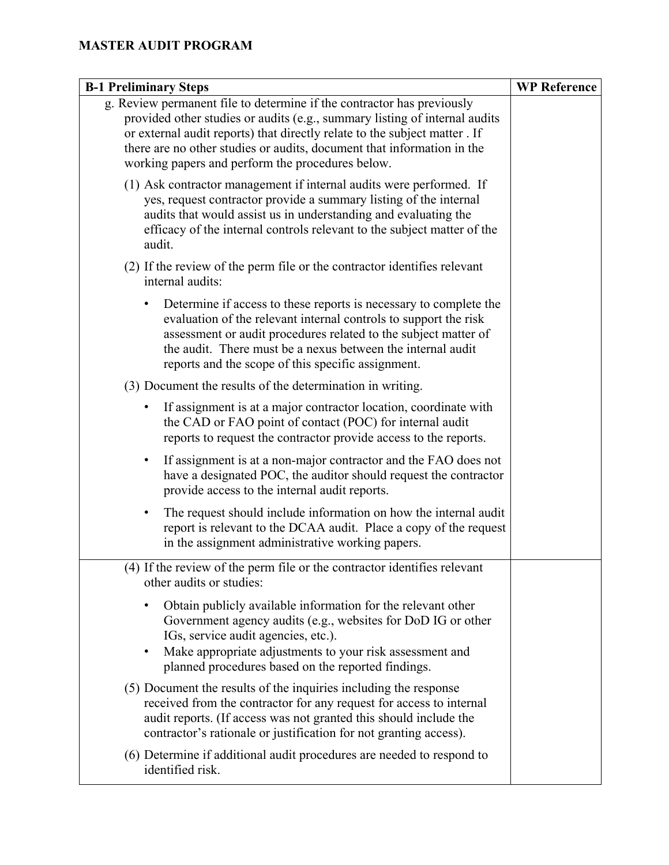| <b>B-1 Preliminary Steps</b>                                                                                                                                                                                                                                                                                                                                     | <b>WP Reference</b> |
|------------------------------------------------------------------------------------------------------------------------------------------------------------------------------------------------------------------------------------------------------------------------------------------------------------------------------------------------------------------|---------------------|
| g. Review permanent file to determine if the contractor has previously<br>provided other studies or audits (e.g., summary listing of internal audits<br>or external audit reports) that directly relate to the subject matter . If<br>there are no other studies or audits, document that information in the<br>working papers and perform the procedures below. |                     |
| (1) Ask contractor management if internal audits were performed. If<br>yes, request contractor provide a summary listing of the internal<br>audits that would assist us in understanding and evaluating the<br>efficacy of the internal controls relevant to the subject matter of the<br>audit.                                                                 |                     |
| (2) If the review of the perm file or the contractor identifies relevant<br>internal audits:                                                                                                                                                                                                                                                                     |                     |
| Determine if access to these reports is necessary to complete the<br>٠<br>evaluation of the relevant internal controls to support the risk<br>assessment or audit procedures related to the subject matter of<br>the audit. There must be a nexus between the internal audit<br>reports and the scope of this specific assignment.                               |                     |
| (3) Document the results of the determination in writing.                                                                                                                                                                                                                                                                                                        |                     |
| If assignment is at a major contractor location, coordinate with<br>the CAD or FAO point of contact (POC) for internal audit<br>reports to request the contractor provide access to the reports.                                                                                                                                                                 |                     |
| If assignment is at a non-major contractor and the FAO does not<br>$\bullet$<br>have a designated POC, the auditor should request the contractor<br>provide access to the internal audit reports.                                                                                                                                                                |                     |
| The request should include information on how the internal audit<br>report is relevant to the DCAA audit. Place a copy of the request<br>in the assignment administrative working papers.                                                                                                                                                                        |                     |
| (4) If the review of the perm file or the contractor identifies relevant<br>other audits or studies:                                                                                                                                                                                                                                                             |                     |
| Obtain publicly available information for the relevant other<br>Government agency audits (e.g., websites for DoD IG or other<br>IGs, service audit agencies, etc.).<br>Make appropriate adjustments to your risk assessment and<br>$\bullet$<br>planned procedures based on the reported findings.                                                               |                     |
| (5) Document the results of the inquiries including the response<br>received from the contractor for any request for access to internal<br>audit reports. (If access was not granted this should include the<br>contractor's rationale or justification for not granting access).                                                                                |                     |
| (6) Determine if additional audit procedures are needed to respond to<br>identified risk.                                                                                                                                                                                                                                                                        |                     |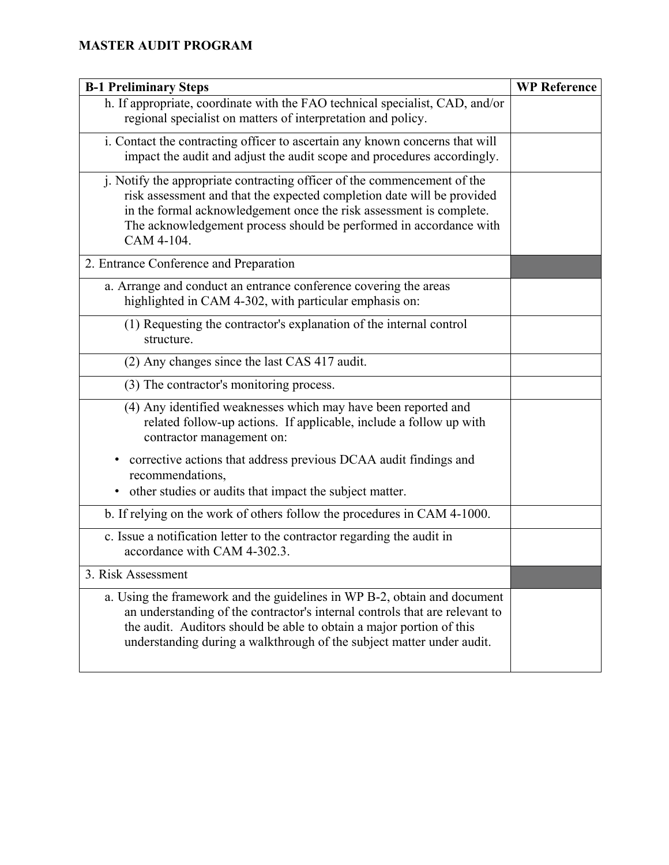| <b>B-1 Preliminary Steps</b>                                                                                                                                                                                                                                                                                  | <b>WP Reference</b> |
|---------------------------------------------------------------------------------------------------------------------------------------------------------------------------------------------------------------------------------------------------------------------------------------------------------------|---------------------|
| h. If appropriate, coordinate with the FAO technical specialist, CAD, and/or<br>regional specialist on matters of interpretation and policy.                                                                                                                                                                  |                     |
| i. Contact the contracting officer to ascertain any known concerns that will<br>impact the audit and adjust the audit scope and procedures accordingly.                                                                                                                                                       |                     |
| j. Notify the appropriate contracting officer of the commencement of the<br>risk assessment and that the expected completion date will be provided<br>in the formal acknowledgement once the risk assessment is complete.<br>The acknowledgement process should be performed in accordance with<br>CAM 4-104. |                     |
| 2. Entrance Conference and Preparation                                                                                                                                                                                                                                                                        |                     |
| a. Arrange and conduct an entrance conference covering the areas<br>highlighted in CAM 4-302, with particular emphasis on:                                                                                                                                                                                    |                     |
| (1) Requesting the contractor's explanation of the internal control<br>structure.                                                                                                                                                                                                                             |                     |
| (2) Any changes since the last CAS 417 audit.                                                                                                                                                                                                                                                                 |                     |
| (3) The contractor's monitoring process.                                                                                                                                                                                                                                                                      |                     |
| (4) Any identified weaknesses which may have been reported and<br>related follow-up actions. If applicable, include a follow up with<br>contractor management on:                                                                                                                                             |                     |
| corrective actions that address previous DCAA audit findings and<br>٠<br>recommendations,<br>other studies or audits that impact the subject matter.<br>٠                                                                                                                                                     |                     |
| b. If relying on the work of others follow the procedures in CAM 4-1000.                                                                                                                                                                                                                                      |                     |
| c. Issue a notification letter to the contractor regarding the audit in<br>accordance with CAM 4-302.3.                                                                                                                                                                                                       |                     |
| 3. Risk Assessment                                                                                                                                                                                                                                                                                            |                     |
| a. Using the framework and the guidelines in WP B-2, obtain and document<br>an understanding of the contractor's internal controls that are relevant to<br>the audit. Auditors should be able to obtain a major portion of this<br>understanding during a walkthrough of the subject matter under audit.      |                     |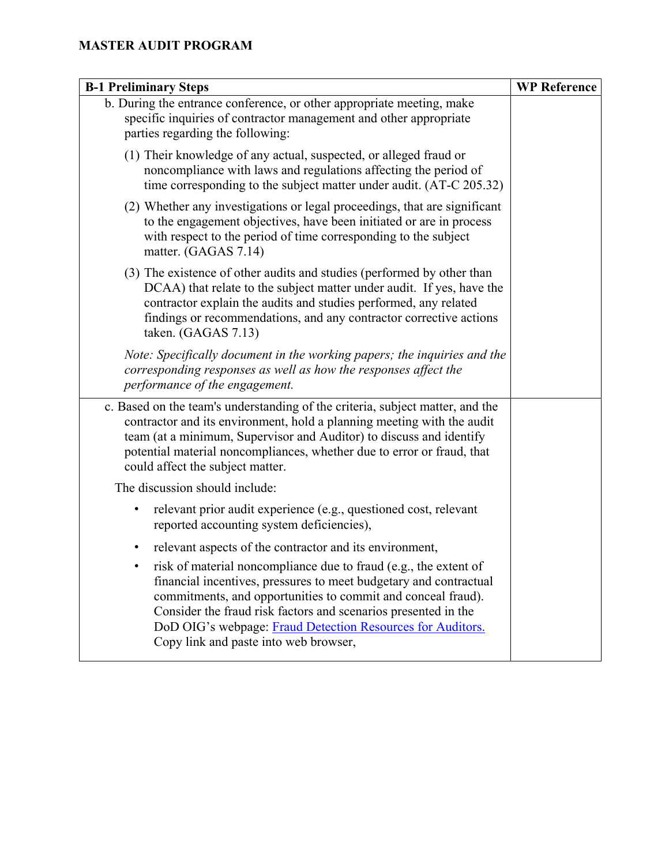| <b>B-1 Preliminary Steps</b>                                                                                                                                                                                                                                                                                                                                                   | <b>WP Reference</b> |
|--------------------------------------------------------------------------------------------------------------------------------------------------------------------------------------------------------------------------------------------------------------------------------------------------------------------------------------------------------------------------------|---------------------|
| b. During the entrance conference, or other appropriate meeting, make<br>specific inquiries of contractor management and other appropriate<br>parties regarding the following:                                                                                                                                                                                                 |                     |
| (1) Their knowledge of any actual, suspected, or alleged fraud or<br>noncompliance with laws and regulations affecting the period of<br>time corresponding to the subject matter under audit. (AT-C 205.32)                                                                                                                                                                    |                     |
| (2) Whether any investigations or legal proceedings, that are significant<br>to the engagement objectives, have been initiated or are in process<br>with respect to the period of time corresponding to the subject<br>matter. (GAGAS 7.14)                                                                                                                                    |                     |
| (3) The existence of other audits and studies (performed by other than<br>DCAA) that relate to the subject matter under audit. If yes, have the<br>contractor explain the audits and studies performed, any related<br>findings or recommendations, and any contractor corrective actions<br>taken. (GAGAS 7.13)                                                               |                     |
| Note: Specifically document in the working papers; the inquiries and the<br>corresponding responses as well as how the responses affect the<br>performance of the engagement.                                                                                                                                                                                                  |                     |
| c. Based on the team's understanding of the criteria, subject matter, and the<br>contractor and its environment, hold a planning meeting with the audit<br>team (at a minimum, Supervisor and Auditor) to discuss and identify<br>potential material noncompliances, whether due to error or fraud, that<br>could affect the subject matter.                                   |                     |
| The discussion should include:                                                                                                                                                                                                                                                                                                                                                 |                     |
| relevant prior audit experience (e.g., questioned cost, relevant<br>$\bullet$<br>reported accounting system deficiencies),                                                                                                                                                                                                                                                     |                     |
| relevant aspects of the contractor and its environment,<br>٠                                                                                                                                                                                                                                                                                                                   |                     |
| risk of material noncompliance due to fraud (e.g., the extent of<br>financial incentives, pressures to meet budgetary and contractual<br>commitments, and opportunities to commit and conceal fraud).<br>Consider the fraud risk factors and scenarios presented in the<br>DoD OIG's webpage: Fraud Detection Resources for Auditors.<br>Copy link and paste into web browser, |                     |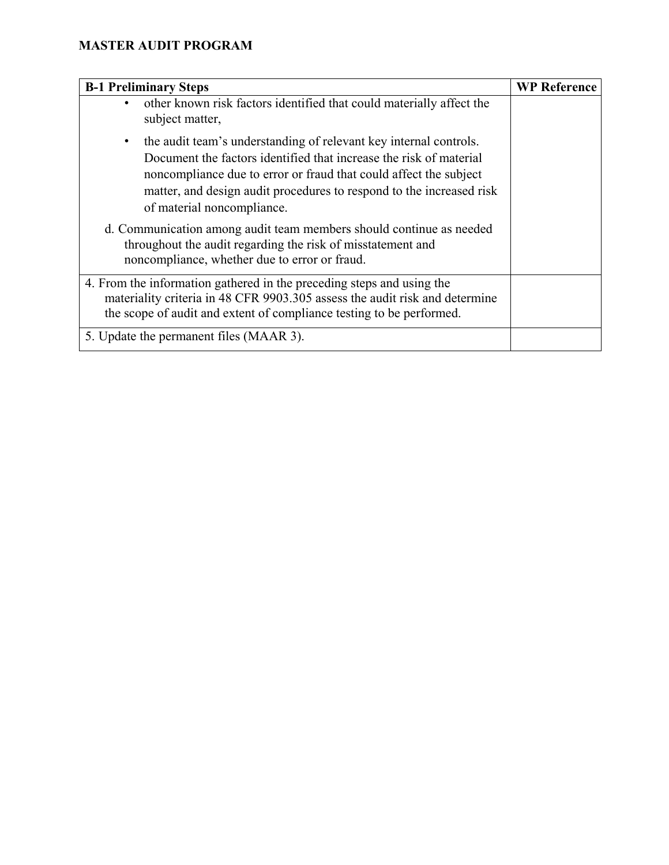| <b>B-1 Preliminary Steps</b>                                                                                                                                                                                                                                                                                                    | <b>WP Reference</b> |
|---------------------------------------------------------------------------------------------------------------------------------------------------------------------------------------------------------------------------------------------------------------------------------------------------------------------------------|---------------------|
| other known risk factors identified that could materially affect the<br>subject matter,                                                                                                                                                                                                                                         |                     |
| the audit team's understanding of relevant key internal controls.<br>$\bullet$<br>Document the factors identified that increase the risk of material<br>noncompliance due to error or fraud that could affect the subject<br>matter, and design audit procedures to respond to the increased risk<br>of material noncompliance. |                     |
| d. Communication among audit team members should continue as needed<br>throughout the audit regarding the risk of misstatement and<br>noncompliance, whether due to error or fraud.                                                                                                                                             |                     |
| 4. From the information gathered in the preceding steps and using the<br>materiality criteria in 48 CFR 9903.305 assess the audit risk and determine<br>the scope of audit and extent of compliance testing to be performed.                                                                                                    |                     |
| 5. Update the permanent files (MAAR 3).                                                                                                                                                                                                                                                                                         |                     |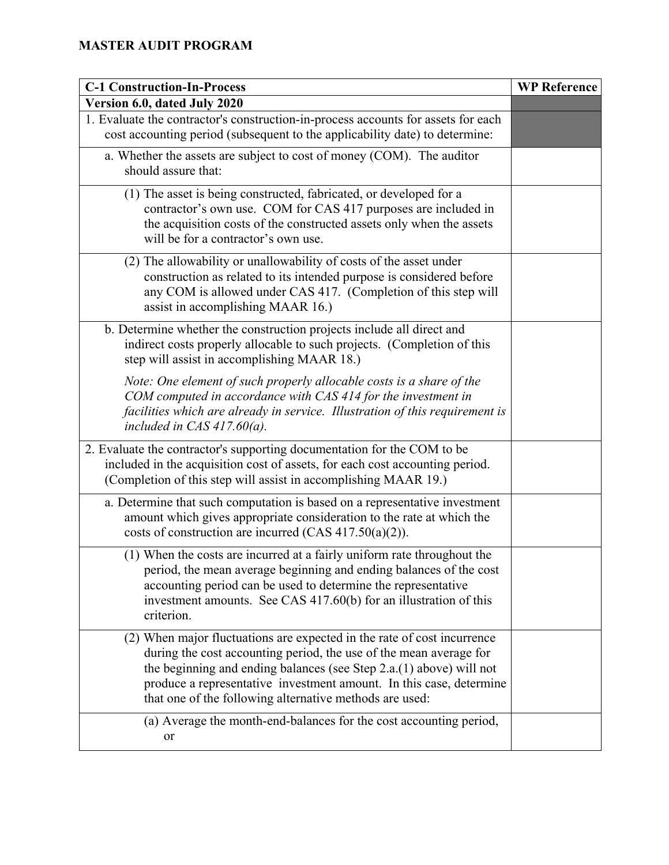| <b>C-1 Construction-In-Process</b>                                                                                                                                                                                                                                                                                                                       | <b>WP Reference</b> |
|----------------------------------------------------------------------------------------------------------------------------------------------------------------------------------------------------------------------------------------------------------------------------------------------------------------------------------------------------------|---------------------|
| Version 6.0, dated July 2020                                                                                                                                                                                                                                                                                                                             |                     |
| 1. Evaluate the contractor's construction-in-process accounts for assets for each<br>cost accounting period (subsequent to the applicability date) to determine:                                                                                                                                                                                         |                     |
| a. Whether the assets are subject to cost of money (COM). The auditor<br>should assure that:                                                                                                                                                                                                                                                             |                     |
| (1) The asset is being constructed, fabricated, or developed for a<br>contractor's own use. COM for CAS 417 purposes are included in<br>the acquisition costs of the constructed assets only when the assets<br>will be for a contractor's own use.                                                                                                      |                     |
| (2) The allowability or unallowability of costs of the asset under<br>construction as related to its intended purpose is considered before<br>any COM is allowed under CAS 417. (Completion of this step will<br>assist in accomplishing MAAR 16.)                                                                                                       |                     |
| b. Determine whether the construction projects include all direct and<br>indirect costs properly allocable to such projects. (Completion of this<br>step will assist in accomplishing MAAR 18.)                                                                                                                                                          |                     |
| Note: One element of such properly allocable costs is a share of the<br>COM computed in accordance with CAS 414 for the investment in<br>facilities which are already in service. Illustration of this requirement is<br>included in CAS $417.60(a)$ .                                                                                                   |                     |
| 2. Evaluate the contractor's supporting documentation for the COM to be<br>included in the acquisition cost of assets, for each cost accounting period.<br>(Completion of this step will assist in accomplishing MAAR 19.)                                                                                                                               |                     |
| a. Determine that such computation is based on a representative investment<br>amount which gives appropriate consideration to the rate at which the<br>costs of construction are incurred (CAS 417.50(a)(2)).                                                                                                                                            |                     |
| (1) When the costs are incurred at a fairly uniform rate throughout the<br>period, the mean average beginning and ending balances of the cost<br>accounting period can be used to determine the representative<br>investment amounts. See CAS 417.60(b) for an illustration of this<br>criterion.                                                        |                     |
| (2) When major fluctuations are expected in the rate of cost incurrence<br>during the cost accounting period, the use of the mean average for<br>the beginning and ending balances (see Step $2.a.(1)$ above) will not<br>produce a representative investment amount. In this case, determine<br>that one of the following alternative methods are used: |                     |
| (a) Average the month-end-balances for the cost accounting period,<br>or                                                                                                                                                                                                                                                                                 |                     |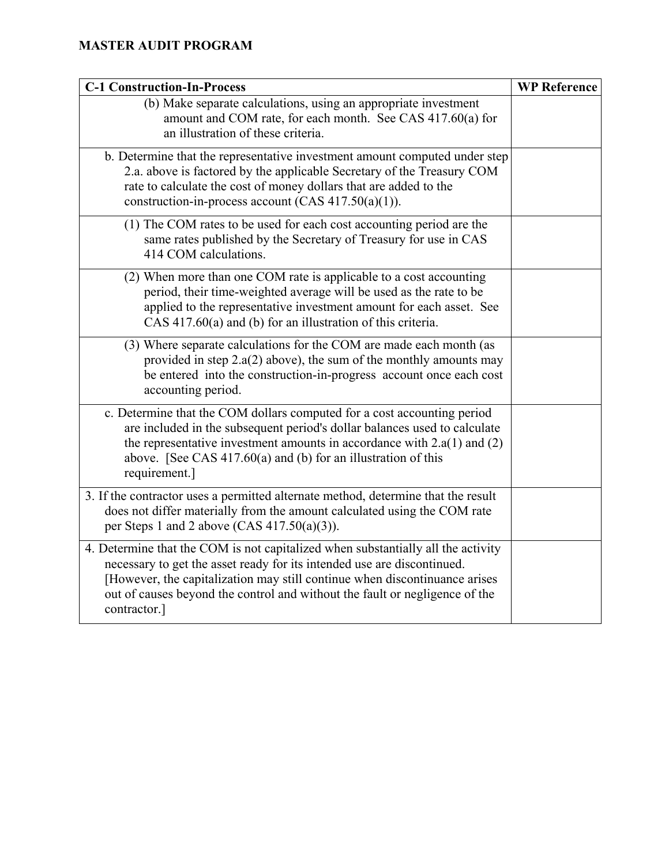| <b>C-1 Construction-In-Process</b>                                                                                                                                                                                                                                                                                                       | <b>WP Reference</b> |
|------------------------------------------------------------------------------------------------------------------------------------------------------------------------------------------------------------------------------------------------------------------------------------------------------------------------------------------|---------------------|
| (b) Make separate calculations, using an appropriate investment<br>amount and COM rate, for each month. See CAS 417.60(a) for<br>an illustration of these criteria.                                                                                                                                                                      |                     |
| b. Determine that the representative investment amount computed under step<br>2.a. above is factored by the applicable Secretary of the Treasury COM<br>rate to calculate the cost of money dollars that are added to the<br>construction-in-process account (CAS $417.50(a)(1)$ ).                                                      |                     |
| (1) The COM rates to be used for each cost accounting period are the<br>same rates published by the Secretary of Treasury for use in CAS<br>414 COM calculations.                                                                                                                                                                        |                     |
| (2) When more than one COM rate is applicable to a cost accounting<br>period, their time-weighted average will be used as the rate to be<br>applied to the representative investment amount for each asset. See<br>$CAS$ 417.60(a) and (b) for an illustration of this criteria.                                                         |                     |
| (3) Where separate calculations for the COM are made each month (as<br>provided in step $2.a(2)$ above), the sum of the monthly amounts may<br>be entered into the construction-in-progress account once each cost<br>accounting period.                                                                                                 |                     |
| c. Determine that the COM dollars computed for a cost accounting period<br>are included in the subsequent period's dollar balances used to calculate<br>the representative investment amounts in accordance with $2.a(1)$ and $(2)$<br>above. [See CAS $417.60(a)$ and (b) for an illustration of this<br>requirement.]                  |                     |
| 3. If the contractor uses a permitted alternate method, determine that the result<br>does not differ materially from the amount calculated using the COM rate<br>per Steps 1 and 2 above (CAS $417.50(a)(3)$ ).                                                                                                                          |                     |
| 4. Determine that the COM is not capitalized when substantially all the activity<br>necessary to get the asset ready for its intended use are discontinued.<br>[However, the capitalization may still continue when discontinuance arises<br>out of causes beyond the control and without the fault or negligence of the<br>contractor.] |                     |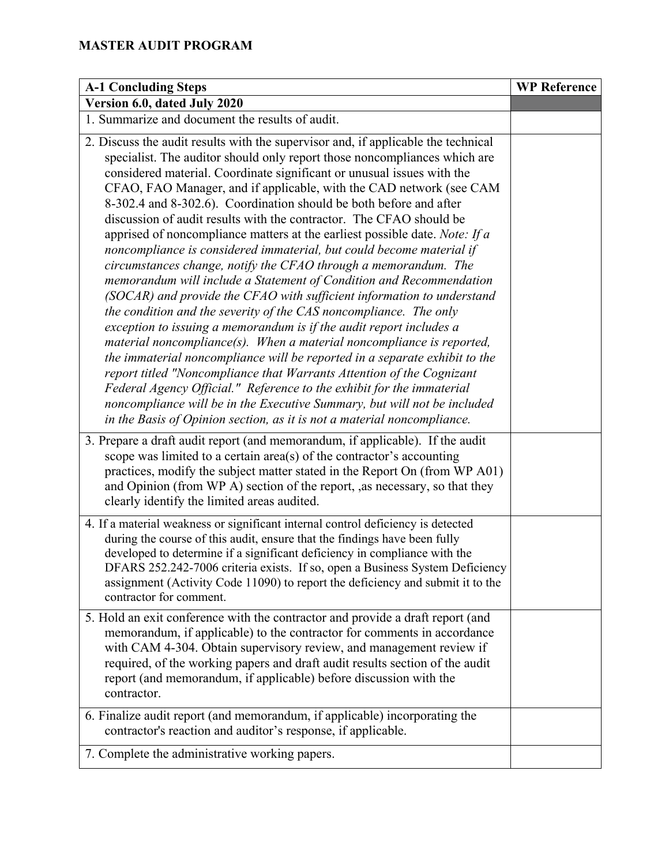| <b>A-1 Concluding Steps</b>                                                                                                                                                                                                                                                                                                                                                                                                                                                                                                                                                                                                                                                                                                                                                                                                                                                                                                                                                                                                                                                                                                                                                                                                                                                                                                                                                                                                                             | <b>WP Reference</b> |
|---------------------------------------------------------------------------------------------------------------------------------------------------------------------------------------------------------------------------------------------------------------------------------------------------------------------------------------------------------------------------------------------------------------------------------------------------------------------------------------------------------------------------------------------------------------------------------------------------------------------------------------------------------------------------------------------------------------------------------------------------------------------------------------------------------------------------------------------------------------------------------------------------------------------------------------------------------------------------------------------------------------------------------------------------------------------------------------------------------------------------------------------------------------------------------------------------------------------------------------------------------------------------------------------------------------------------------------------------------------------------------------------------------------------------------------------------------|---------------------|
| Version 6.0, dated July 2020                                                                                                                                                                                                                                                                                                                                                                                                                                                                                                                                                                                                                                                                                                                                                                                                                                                                                                                                                                                                                                                                                                                                                                                                                                                                                                                                                                                                                            |                     |
| 1. Summarize and document the results of audit.                                                                                                                                                                                                                                                                                                                                                                                                                                                                                                                                                                                                                                                                                                                                                                                                                                                                                                                                                                                                                                                                                                                                                                                                                                                                                                                                                                                                         |                     |
| 2. Discuss the audit results with the supervisor and, if applicable the technical<br>specialist. The auditor should only report those noncompliances which are<br>considered material. Coordinate significant or unusual issues with the<br>CFAO, FAO Manager, and if applicable, with the CAD network (see CAM<br>8-302.4 and 8-302.6). Coordination should be both before and after<br>discussion of audit results with the contractor. The CFAO should be<br>apprised of noncompliance matters at the earliest possible date. Note: If a<br>noncompliance is considered immaterial, but could become material if<br>circumstances change, notify the CFAO through a memorandum. The<br>memorandum will include a Statement of Condition and Recommendation<br>(SOCAR) and provide the CFAO with sufficient information to understand<br>the condition and the severity of the CAS noncompliance. The only<br>exception to issuing a memorandum is if the audit report includes a<br>material noncompliance $(s)$ . When a material noncompliance is reported,<br>the immaterial noncompliance will be reported in a separate exhibit to the<br>report titled "Noncompliance that Warrants Attention of the Cognizant<br>Federal Agency Official." Reference to the exhibit for the immaterial<br>noncompliance will be in the Executive Summary, but will not be included<br>in the Basis of Opinion section, as it is not a material noncompliance. |                     |
| 3. Prepare a draft audit report (and memorandum, if applicable). If the audit<br>scope was limited to a certain $area(s)$ of the contractor's accounting<br>practices, modify the subject matter stated in the Report On (from WP A01)<br>and Opinion (from WP A) section of the report, ,as necessary, so that they<br>clearly identify the limited areas audited.                                                                                                                                                                                                                                                                                                                                                                                                                                                                                                                                                                                                                                                                                                                                                                                                                                                                                                                                                                                                                                                                                     |                     |
| 4. If a material weakness or significant internal control deficiency is detected<br>during the course of this audit, ensure that the findings have been fully<br>developed to determine if a significant deficiency in compliance with the<br>DFARS 252.242-7006 criteria exists. If so, open a Business System Deficiency<br>assignment (Activity Code 11090) to report the deficiency and submit it to the<br>contractor for comment.                                                                                                                                                                                                                                                                                                                                                                                                                                                                                                                                                                                                                                                                                                                                                                                                                                                                                                                                                                                                                 |                     |
| 5. Hold an exit conference with the contractor and provide a draft report (and<br>memorandum, if applicable) to the contractor for comments in accordance<br>with CAM 4-304. Obtain supervisory review, and management review if<br>required, of the working papers and draft audit results section of the audit<br>report (and memorandum, if applicable) before discussion with the<br>contractor.                                                                                                                                                                                                                                                                                                                                                                                                                                                                                                                                                                                                                                                                                                                                                                                                                                                                                                                                                                                                                                                    |                     |
| 6. Finalize audit report (and memorandum, if applicable) incorporating the<br>contractor's reaction and auditor's response, if applicable.                                                                                                                                                                                                                                                                                                                                                                                                                                                                                                                                                                                                                                                                                                                                                                                                                                                                                                                                                                                                                                                                                                                                                                                                                                                                                                              |                     |
| 7. Complete the administrative working papers.                                                                                                                                                                                                                                                                                                                                                                                                                                                                                                                                                                                                                                                                                                                                                                                                                                                                                                                                                                                                                                                                                                                                                                                                                                                                                                                                                                                                          |                     |